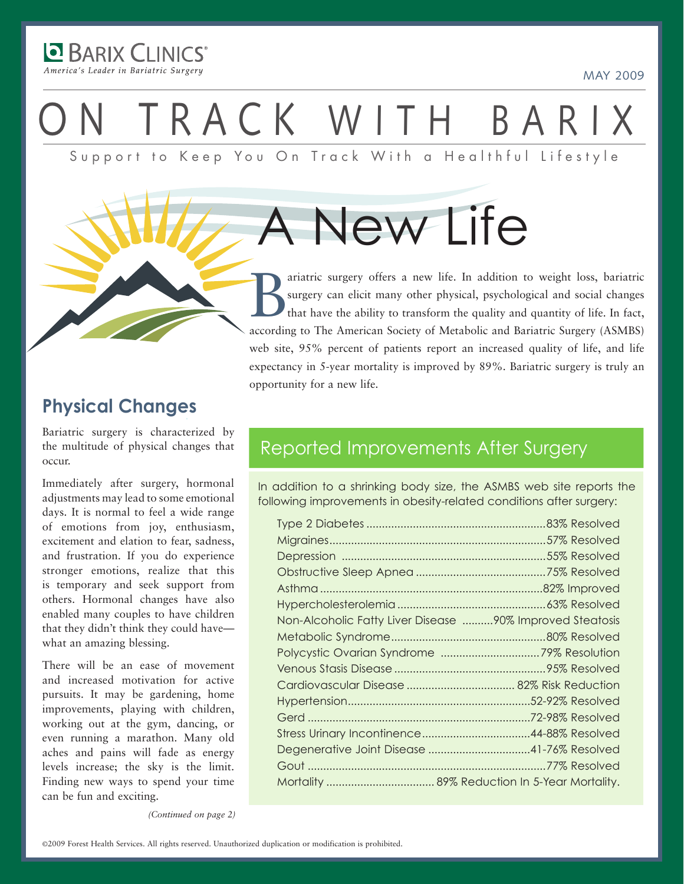**D** BARIX CLINICS America's Leader in Bariatric Surgery

# TRACK WITH BARIX

Support to Keep You On Track With a Healthful Lifestyle

A New Life

ariatric surgery offers a new life. In addition to weight loss, bariatric surgery can elicit many other physical, psychological and social changes that have the ability to transform the quality and quantity of life. In fac surgery can elicit many other physical, psychological and social changes that have the ability to transform the quality and quantity of life. In fact, according to The American Society of Metabolic and Bariatric Surgery (ASMBS) web site, 95% percent of patients report an increased quality of life, and life expectancy in 5-year mortality is improved by 89%. Bariatric surgery is truly an opportunity for a new life.

### **Physical Changes**

Bariatric surgery is characterized by the multitude of physical changes that occur.

Immediately after surgery, hormonal adjustments may lead to some emotional days. It is normal to feel a wide range of emotions from joy, enthusiasm, excitement and elation to fear, sadness, and frustration. If you do experience stronger emotions, realize that this is temporary and seek support from others. Hormonal changes have also enabled many couples to have children that they didn't think they could have what an amazing blessing.

There will be an ease of movement and increased motivation for active pursuits. It may be gardening, home improvements, playing with children, working out at the gym, dancing, or even running a marathon. Many old aches and pains will fade as energy levels increase; the sky is the limit. Finding new ways to spend your time can be fun and exciting.

### Reported Improvements After Surgery

In addition to a shrinking body size, the ASMBS web site reports the following improvements in obesity-related conditions after surgery:

| Non-Alcoholic Fatty Liver Disease 90% Improved Steatosis |  |
|----------------------------------------------------------|--|
|                                                          |  |
|                                                          |  |
|                                                          |  |
|                                                          |  |
|                                                          |  |
|                                                          |  |
|                                                          |  |
|                                                          |  |
|                                                          |  |
|                                                          |  |

*(Continued on page 2)*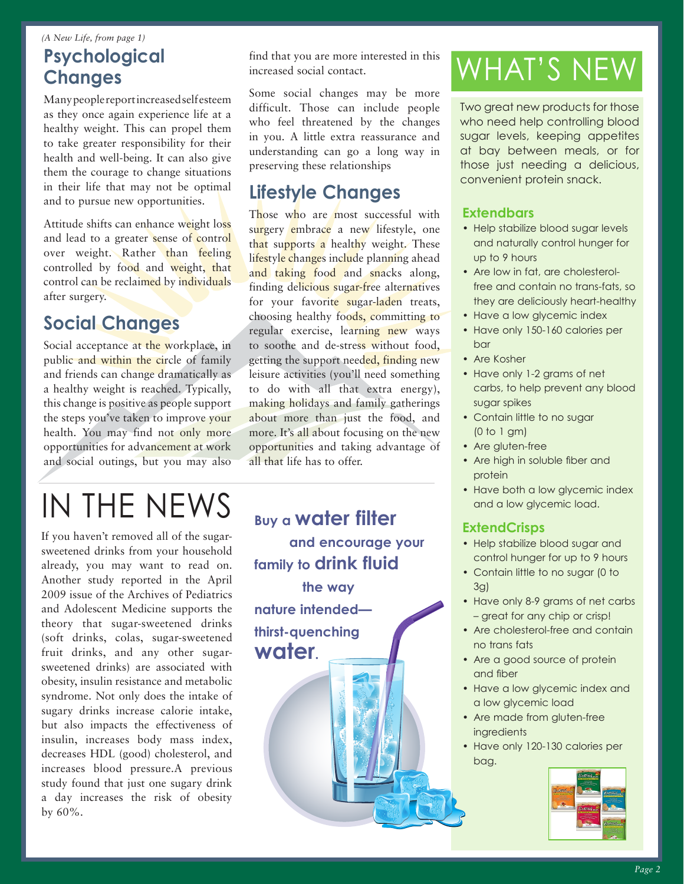### *(A New Life, from page 1)* **Psychological Changes**

Many people report increased self esteem as they once again experience life at a healthy weight. This can propel them to take greater responsibility for their health and well-being. It can also give them the courage to change situations in their life that may not be optimal and to pursue new opportunities.

Attitude shifts can enhance weight loss and lead to a greater sense of control over weight. Rather than feeling controlled by food and weight, that control can be reclaimed by individuals after surgery.

### **Social Changes**

Social acceptance at the workplace, in public and within the circle of family and friends can change dramatically as a healthy weight is reached. Typically, this change is positive as people support the steps you've taken to improve your health. You may find not only more opportunities for advancement at work and social outings, but you may also

# IN THE NEWS

If you haven't removed all of the sugarsweetened drinks from your household already, you may want to read on. Another study reported in the April 2009 issue of the Archives of Pediatrics and Adolescent Medicine supports the theory that sugar-sweetened drinks (soft drinks, colas, sugar-sweetened fruit drinks, and any other sugarsweetened drinks) are associated with obesity, insulin resistance and metabolic syndrome. Not only does the intake of sugary drinks increase calorie intake, but also impacts the effectiveness of insulin, increases body mass index, decreases HDL (good) cholesterol, and increases blood pressure.A previous study found that just one sugary drink a day increases the risk of obesity by 60%.

find that you are more interested in this increased social contact.

Some social changes may be more difficult. Those can include people who feel threatened by the changes in you. A little extra reassurance and understanding can go a long way in preserving these relationships

### **Lifestyle Changes**

Those who are most successful with surgery embrace a new lifestyle, one that supports a healthy weight. These lifestyle changes include planning ahead and taking food and snacks along, finding delicious sugar-free alternatives for your favorite sugar-laden treats, choosing healthy foods, committing to regular exercise, learning new ways to soothe and de-stress without food, getting the support needed, finding new leisure activities (you'll need something to do with all that extra energy), making holidays and family gatherings about more than just the food, and more. It's all about focusing on the new opportunities and taking advantage of all that life has to offer.

**Buy a water filter and encourage your family to drink fluid the way** 

**nature intended thirst-quenching water.**

## WHAT's NEW

Two great new products for those who need help controlling blood sugar levels, keeping appetites at bay between meals, or for those just needing a delicious, convenient protein snack.

### **Extendbars**

- Help stabilize blood sugar levels and naturally control hunger for up to 9 hours
- Are low in fat, are cholesterolfree and contain no trans-fats, so they are deliciously heart-healthy
- Have a low glycemic index
- Have only 150-160 calories per bar
- Are Kosher
- Have only 1-2 grams of net carbs, to help prevent any blood sugar spikes
- Contain little to no sugar (0 to 1 gm)
- Are gluten-free
- Are high in soluble fiber and protein
- Have both a low glycemic index and a low glycemic load.

### **ExtendCrisps**

- Help stabilize blood sugar and control hunger for up to 9 hours
- Contain little to no sugar (0 to 3g)
- Have only 8-9 grams of net carbs – great for any chip or crisp!
- Are cholesterol-free and contain no trans fats
- Are a good source of protein and fiber
- Have a low glycemic index and a low glycemic load
- Are made from gluten-free **ingredients**
- Have only 120-130 calories per bag.

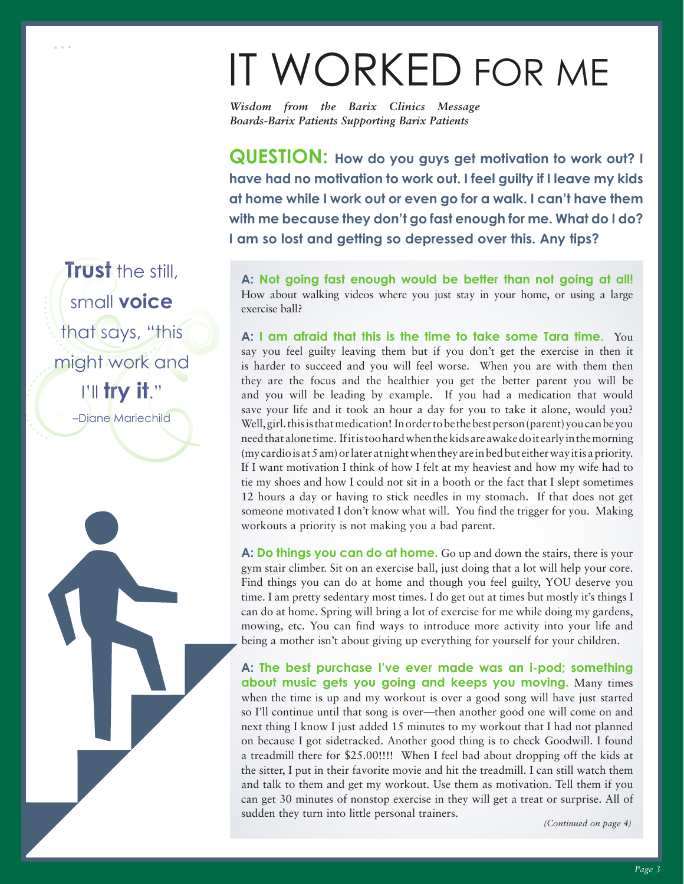# it Worked for me

*Wisdom from the Barix Clinics Message Boards-Barix Patients Supporting Barix Patients*

**QUESTION:** How do you guys get motivation to work out? I **have had no motivation to work out. I feel guilty if I leave my kids at home while I work out or even go for a walk. I can't have them with me because they don't go fast enough for me. What do I do? I am so lost and getting so depressed over this. Any tips?**

**A: Not going fast enough would be better than not going at all!** How about walking videos where you just stay in your home, or using a large exercise ball?

**A: I am afraid that this is the time to take some Tara time.** You say you feel guilty leaving them but if you don't get the exercise in then it is harder to succeed and you will feel worse. When you are with them then they are the focus and the healthier you get the better parent you will be and you will be leading by example. If you had a medication that would save your life and it took an hour a day for you to take it alone, would you? Well, girl. this is that medication! In order to be the best person (parent) you can be you need that alone time. If it is too hard when the kids are awake do it early in the morning (my cardio is at 5 am) or later at night when they are in bed but either way it is a priority. If I want motivation I think of how I felt at my heaviest and how my wife had to tie my shoes and how I could not sit in a booth or the fact that I slept sometimes 12 hours a day or having to stick needles in my stomach. If that does not get someone motivated I don't know what will. You find the trigger for you. Making workouts a priority is not making you a bad parent.

**A: Do things you can do at home.** Go up and down the stairs, there is your gym stair climber. Sit on an exercise ball, just doing that a lot will help your core. Find things you can do at home and though you feel guilty, YOU deserve you time. I am pretty sedentary most times. I do get out at times but mostly it's things I can do at home. Spring will bring a lot of exercise for me while doing my gardens, mowing, etc. You can find ways to introduce more activity into your life and being a mother isn't about giving up everything for yourself for your children.

**A: The best purchase I've ever made was an i-pod; something about music gets you going and keeps you moving.** Many times when the time is up and my workout is over a good song will have just started so I'll continue until that song is over—then another good one will come on and next thing I know I just added 15 minutes to my workout that I had not planned on because I got sidetracked. Another good thing is to check Goodwill. I found a treadmill there for \$25.00!!!! When I feel bad about dropping off the kids at the sitter, I put in their favorite movie and hit the treadmill. I can still watch them and talk to them and get my workout. Use them as motivation. Tell them if you can get 30 minutes of nonstop exercise in they will get a treat or surprise. All of sudden they turn into little personal trainers.

*(Continued on page 4)*

**Trust** the still small **voice** that says, "this might work and I'll **try it**." –Diane Mariechild

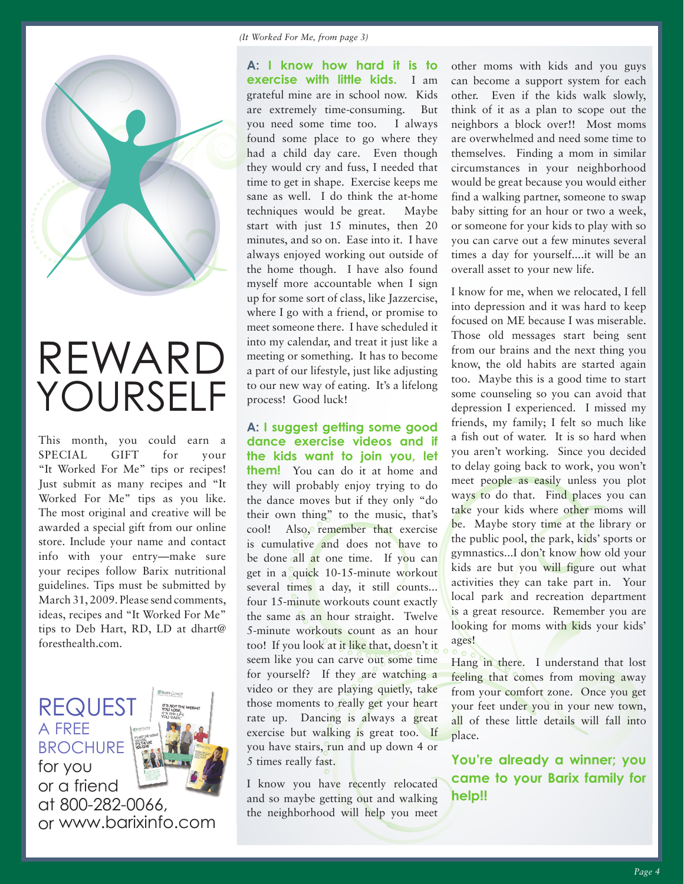

# Reward Yourself

This month, you could earn a SPECIAL GIFT for your "It Worked For Me" tips or recipes! Just submit as many recipes and "It Worked For Me" tips as you like. The most original and creative will be awarded a special gift from our online store. Include your name and contact info with your entry—make sure your recipes follow Barix nutritional guidelines. Tips must be submitted by March 31, 2009. Please send comments, ideas, recipes and "It Worked For Me" tips to Deb Hart, RD, LD at dhart@ foresthealth.com.

a free **BROCHURF** for you or a friend at 800-282-0066, or www.barixinfo.com

**REQUES** 

**A: I know how hard it is to exercise with little kids.** I am grateful mine are in school now. Kids are extremely time-consuming. But you need some time too. I always found some place to go where they had a child day care. Even though they would cry and fuss, I needed that time to get in shape. Exercise keeps me sane as well. I do think the at-home techniques would be great. Maybe start with just 15 minutes, then 20 minutes, and so on. Ease into it. I have always enjoyed working out outside of the home though. I have also found myself more accountable when I sign up for some sort of class, like Jazzercise, where I go with a friend, or promise to meet someone there. I have scheduled it into my calendar, and treat it just like a meeting or something. It has to become a part of our lifestyle, just like adjusting to our new way of eating. It's a lifelong process! Good luck!

**A: I suggest getting some good dance exercise videos and if the kids want to join you, let them!** You can do it at home and they will probably enjoy trying to do the dance moves but if they only "do their own thing" to the music, that's cool! Also, remember that exercise is cumulative and does not have to be done all at one time. If you can get in a quick 10-15-minute workout several times a day, it still counts... four 15-minute workouts count exactly the same as an hour straight. Twelve 5-minute workouts count as an hour too! If you look at it like that, doesn't it seem like you can carve out some time for yourself? If they are watching a video or they are playing quietly, take those moments to really get your heart rate up. Dancing is always a great exercise but walking is great too. If you have stairs, run and up down 4 or 5 times really fast.

I know you have recently relocated and so maybe getting out and walking the neighborhood will help you meet other moms with kids and you guys can become a support system for each other. Even if the kids walk slowly, think of it as a plan to scope out the neighbors a block over!! Most moms are overwhelmed and need some time to themselves. Finding a mom in similar circumstances in your neighborhood would be great because you would either find a walking partner, someone to swap baby sitting for an hour or two a week, or someone for your kids to play with so you can carve out a few minutes several times a day for yourself....it will be an overall asset to your new life.

I know for me, when we relocated, I fell into depression and it was hard to keep focused on ME because I was miserable. Those old messages start being sent from our brains and the next thing you know, the old habits are started again too. Maybe this is a good time to start some counseling so you can avoid that depression I experienced. I missed my friends, my family; I felt so much like a fish out of water. It is so hard when you aren't working. Since you decided to delay going back to work, you won't meet people as easily unless you plot ways to do that. Find places you can take your kids where other moms will be. Maybe story time at the library or the public pool, the park, kids' sports or gymnastics...I don't know how old your kids are but you will figure out what activities they can take part in. Your local park and recreation department is a great resource. Remember you are looking for moms with kids your kids' ages!

Hang in there. I understand that lost feeling that comes from moving away from your comfort zone. Once you get your feet under you in your new town, all of these little details will fall into place.

**You're already a winner; you came to your Barix family for help!!**